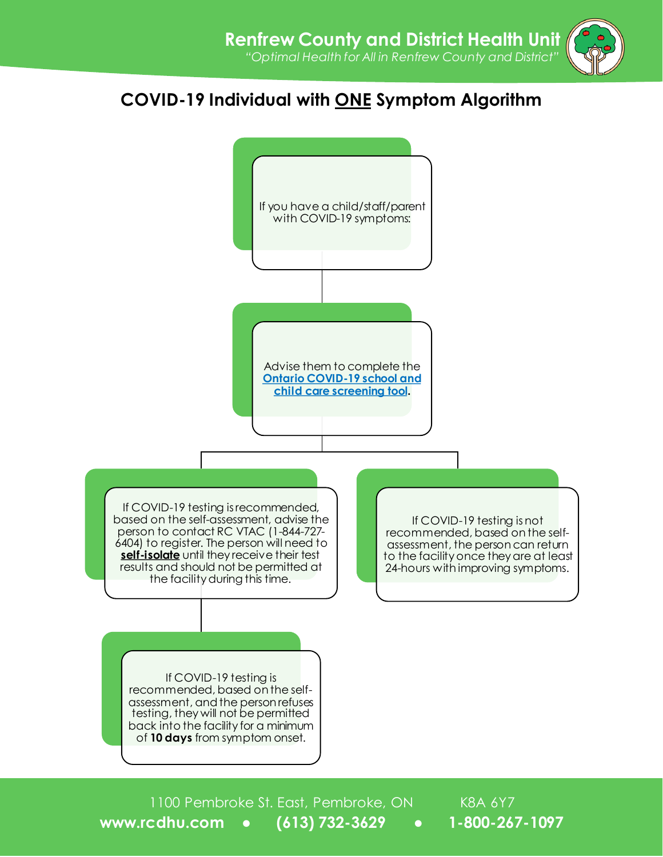## **COVID-19 Individual with ONE Symptom Algorithm**



1100 Pembroke St. East, Pembroke, ON K8A 6Y7 **www.rcdhu.com ● (613) 732-3629 ● 1-800-267-1097**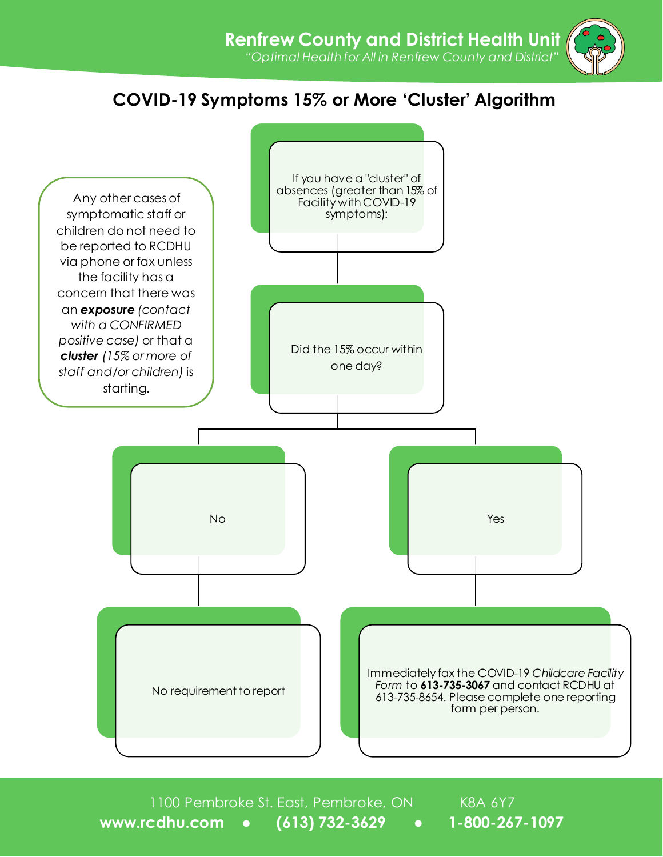## **COVID-19 Symptoms 15% or More 'Cluster' Algorithm**



1100 Pembroke St. East, Pembroke, ON K8A 6Y7 **www.rcdhu.com ● (613) 732-3629 ● 1-800-267-1097**